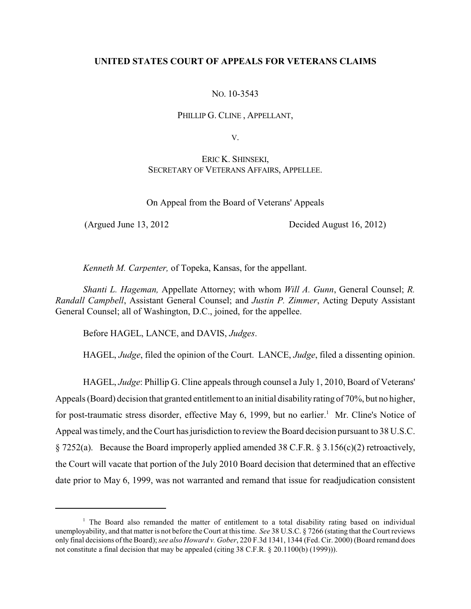# **UNITED STATES COURT OF APPEALS FOR VETERANS CLAIMS**

NO. 10-3543

PHILLIP G. CLINE , APPELLANT,

V.

ERIC K. SHINSEKI, SECRETARY OF VETERANS AFFAIRS, APPELLEE.

On Appeal from the Board of Veterans' Appeals

(Argued June 13, 2012 Decided August 16, 2012)

*Kenneth M. Carpenter,* of Topeka, Kansas, for the appellant.

*Shanti L. Hageman,* Appellate Attorney; with whom *Will A. Gunn*, General Counsel; *R. Randall Campbell*, Assistant General Counsel; and *Justin P. Zimmer*, Acting Deputy Assistant General Counsel; all of Washington, D.C., joined, for the appellee.

Before HAGEL, LANCE, and DAVIS, *Judges*.

HAGEL, *Judge*, filed the opinion of the Court. LANCE, *Judge*, filed a dissenting opinion.

HAGEL, *Judge*: Phillip G. Cline appeals through counsel a July 1, 2010, Board of Veterans' Appeals (Board) decision that granted entitlement to an initial disabilityrating of 70%, but no higher, for post-traumatic stress disorder, effective May 6, 1999, but no earlier.<sup>1</sup> Mr. Cline's Notice of Appeal was timely, and the Court has jurisdiction to review the Board decision pursuant to 38 U.S.C. § 7252(a). Because the Board improperly applied amended 38 C.F.R. § 3.156(c)(2) retroactively, the Court will vacate that portion of the July 2010 Board decision that determined that an effective date prior to May 6, 1999, was not warranted and remand that issue for readjudication consistent

<sup>&</sup>lt;sup>1</sup> The Board also remanded the matter of entitlement to a total disability rating based on individual unemployability, and that matter is not before the Court at thistime. *See* 38 U.S.C. § 7266 (stating that the Court reviews only final decisions of the Board); *see also Howard v. Gober*, 220 F.3d 1341, 1344 (Fed. Cir. 2000) (Board remand does not constitute a final decision that may be appealed (citing 38 C.F.R. § 20.1100(b) (1999))).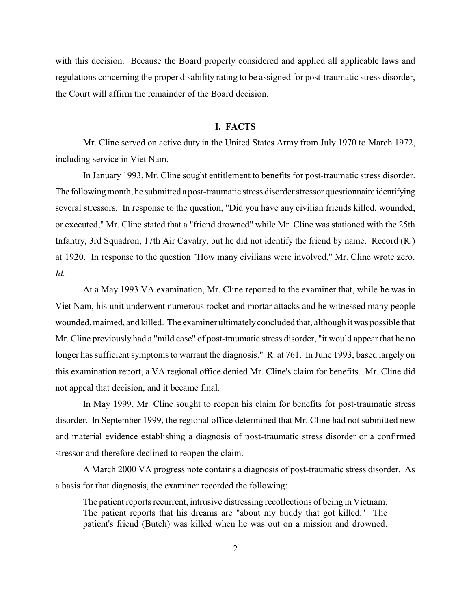with this decision. Because the Board properly considered and applied all applicable laws and regulations concerning the proper disability rating to be assigned for post-traumatic stress disorder, the Court will affirm the remainder of the Board decision.

### **I. FACTS**

Mr. Cline served on active duty in the United States Army from July 1970 to March 1972, including service in Viet Nam.

In January 1993, Mr. Cline sought entitlement to benefits for post-traumatic stress disorder. The following month, he submitted a post-traumatic stress disorder stressor questionnaire identifying several stressors. In response to the question, "Did you have any civilian friends killed, wounded, or executed," Mr. Cline stated that a "friend drowned" while Mr. Cline was stationed with the 25th Infantry, 3rd Squadron, 17th Air Cavalry, but he did not identify the friend by name. Record (R.) at 1920. In response to the question "How many civilians were involved," Mr. Cline wrote zero. *Id.*

At a May 1993 VA examination, Mr. Cline reported to the examiner that, while he was in Viet Nam, his unit underwent numerous rocket and mortar attacks and he witnessed many people wounded, maimed, and killed. The examiner ultimatelyconcluded that, although it was possible that Mr. Cline previously had a "mild case" of post-traumatic stress disorder, "it would appear that he no longer has sufficient symptoms to warrant the diagnosis." R. at 761. In June 1993, based largely on this examination report, a VA regional office denied Mr. Cline's claim for benefits. Mr. Cline did not appeal that decision, and it became final.

In May 1999, Mr. Cline sought to reopen his claim for benefits for post-traumatic stress disorder. In September 1999, the regional office determined that Mr. Cline had not submitted new and material evidence establishing a diagnosis of post-traumatic stress disorder or a confirmed stressor and therefore declined to reopen the claim.

A March 2000 VA progress note contains a diagnosis of post-traumatic stress disorder. As a basis for that diagnosis, the examiner recorded the following:

The patient reports recurrent, intrusive distressing recollections of being in Vietnam. The patient reports that his dreams are "about my buddy that got killed." The patient's friend (Butch) was killed when he was out on a mission and drowned.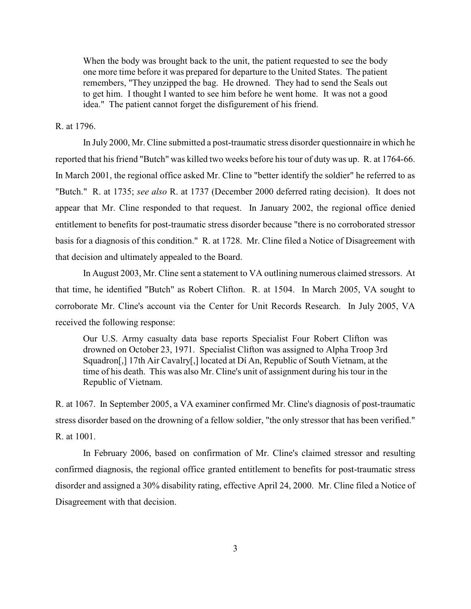When the body was brought back to the unit, the patient requested to see the body one more time before it was prepared for departure to the United States. The patient remembers, "They unzipped the bag. He drowned. They had to send the Seals out to get him. I thought I wanted to see him before he went home. It was not a good idea." The patient cannot forget the disfigurement of his friend.

#### R. at 1796.

In July 2000, Mr. Cline submitted a post-traumatic stress disorder questionnaire in which he reported that his friend "Butch" was killed two weeks before his tour of duty was up. R. at 1764-66. In March 2001, the regional office asked Mr. Cline to "better identify the soldier" he referred to as "Butch." R. at 1735; *see also* R. at 1737 (December 2000 deferred rating decision). It does not appear that Mr. Cline responded to that request. In January 2002, the regional office denied entitlement to benefits for post-traumatic stress disorder because "there is no corroborated stressor basis for a diagnosis of this condition." R. at 1728. Mr. Cline filed a Notice of Disagreement with that decision and ultimately appealed to the Board.

In August 2003, Mr. Cline sent a statement to VA outlining numerous claimed stressors. At that time, he identified "Butch" as Robert Clifton. R. at 1504. In March 2005, VA sought to corroborate Mr. Cline's account via the Center for Unit Records Research. In July 2005, VA received the following response:

Our U.S. Army casualty data base reports Specialist Four Robert Clifton was drowned on October 23, 1971. Specialist Clifton was assigned to Alpha Troop 3rd Squadron[,] 17th Air Cavalry[,] located at Dí An, Republic of South Vietnam, at the time of his death. This was also Mr. Cline's unit of assignment during his tour in the Republic of Vietnam.

R. at 1067. In September 2005, a VA examiner confirmed Mr. Cline's diagnosis of post-traumatic stress disorder based on the drowning of a fellow soldier, "the only stressor that has been verified." R. at 1001.

In February 2006, based on confirmation of Mr. Cline's claimed stressor and resulting confirmed diagnosis, the regional office granted entitlement to benefits for post-traumatic stress disorder and assigned a 30% disability rating, effective April 24, 2000. Mr. Cline filed a Notice of Disagreement with that decision.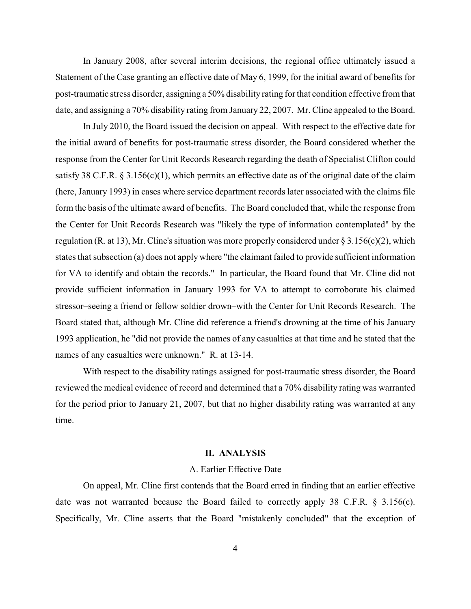In January 2008, after several interim decisions, the regional office ultimately issued a Statement of the Case granting an effective date of May 6, 1999, for the initial award of benefits for post-traumatic stress disorder, assigning a 50% disability rating for that condition effective from that date, and assigning a 70% disability rating from January 22, 2007. Mr. Cline appealed to the Board.

In July 2010, the Board issued the decision on appeal. With respect to the effective date for the initial award of benefits for post-traumatic stress disorder, the Board considered whether the response from the Center for Unit Records Research regarding the death of Specialist Clifton could satisfy 38 C.F.R. § 3.156(c)(1), which permits an effective date as of the original date of the claim (here, January 1993) in cases where service department records later associated with the claims file form the basis of the ultimate award of benefits. The Board concluded that, while the response from the Center for Unit Records Research was "likely the type of information contemplated" by the regulation (R. at 13), Mr. Cline's situation was more properly considered under § 3.156(c)(2), which states that subsection (a) does not apply where "the claimant failed to provide sufficient information for VA to identify and obtain the records." In particular, the Board found that Mr. Cline did not provide sufficient information in January 1993 for VA to attempt to corroborate his claimed stressor–seeing a friend or fellow soldier drown–with the Center for Unit Records Research. The Board stated that, although Mr. Cline did reference a friend's drowning at the time of his January 1993 application, he "did not provide the names of any casualties at that time and he stated that the names of any casualties were unknown." R. at 13-14.

With respect to the disability ratings assigned for post-traumatic stress disorder, the Board reviewed the medical evidence of record and determined that a 70% disability rating was warranted for the period prior to January 21, 2007, but that no higher disability rating was warranted at any time.

#### **II. ANALYSIS**

### A. Earlier Effective Date

On appeal, Mr. Cline first contends that the Board erred in finding that an earlier effective date was not warranted because the Board failed to correctly apply 38 C.F.R. § 3.156(c). Specifically, Mr. Cline asserts that the Board "mistakenly concluded" that the exception of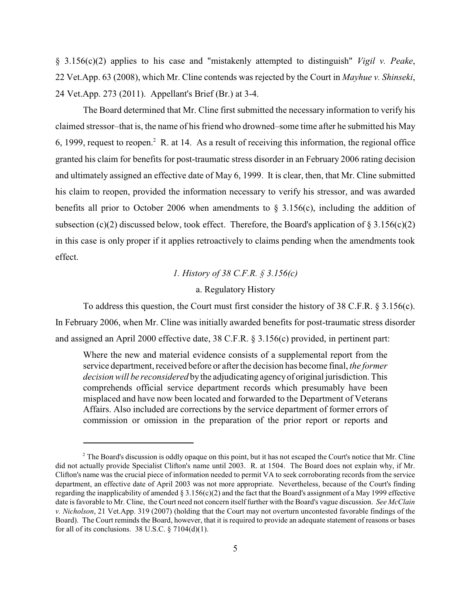§ 3.156(c)(2) applies to his case and "mistakenly attempted to distinguish" *Vigil v. Peake*, 22 Vet.App. 63 (2008), which Mr. Cline contends was rejected by the Court in *Mayhue v. Shinseki*, 24 Vet.App. 273 (2011). Appellant's Brief (Br.) at 3-4.

The Board determined that Mr. Cline first submitted the necessary information to verify his claimed stressor–that is, the name of his friend who drowned–some time after he submitted his May 6, 1999, request to reopen.<sup>2</sup> R. at 14. As a result of receiving this information, the regional office granted his claim for benefits for post-traumatic stress disorder in an February 2006 rating decision and ultimately assigned an effective date of May 6, 1999. It is clear, then, that Mr. Cline submitted his claim to reopen, provided the information necessary to verify his stressor, and was awarded benefits all prior to October 2006 when amendments to  $\S$  3.156(c), including the addition of subsection (c)(2) discussed below, took effect. Therefore, the Board's application of  $\S 3.156(c)(2)$ in this case is only proper if it applies retroactively to claims pending when the amendments took effect.

*1. History of 38 C.F.R. § 3.156(c)*

### a. Regulatory History

To address this question, the Court must first consider the history of 38 C.F.R.  $\S 3.156(c)$ . In February 2006, when Mr. Cline was initially awarded benefits for post-traumatic stress disorder and assigned an April 2000 effective date, 38 C.F.R. § 3.156(c) provided, in pertinent part:

Where the new and material evidence consists of a supplemental report from the service department, received before or after the decision has become final, *the former decision will be reconsidered* bythe adjudicating agencyof original jurisdiction. This comprehends official service department records which presumably have been misplaced and have now been located and forwarded to the Department of Veterans Affairs. Also included are corrections by the service department of former errors of commission or omission in the preparation of the prior report or reports and

 $2^2$  The Board's discussion is oddly opaque on this point, but it has not escaped the Court's notice that Mr. Cline did not actually provide Specialist Clifton's name until 2003. R. at 1504. The Board does not explain why, if Mr. Clifton's name was the crucial piece of information needed to permit VA to seek corroborating records from the service department, an effective date of April 2003 was not more appropriate. Nevertheless, because of the Court's finding regarding the inapplicability of amended  $\S 3.156(c)(2)$  and the fact that the Board's assignment of a May 1999 effective date is favorable to Mr. Cline, the Court need not concern itself further with the Board's vague discussion. *See McClain v. Nicholson*, 21 Vet.App. 319 (2007) (holding that the Court may not overturn uncontested favorable findings of the Board). The Court reminds the Board, however, that it is required to provide an adequate statement of reasons or bases for all of its conclusions. 38 U.S.C.  $\S$  7104(d)(1).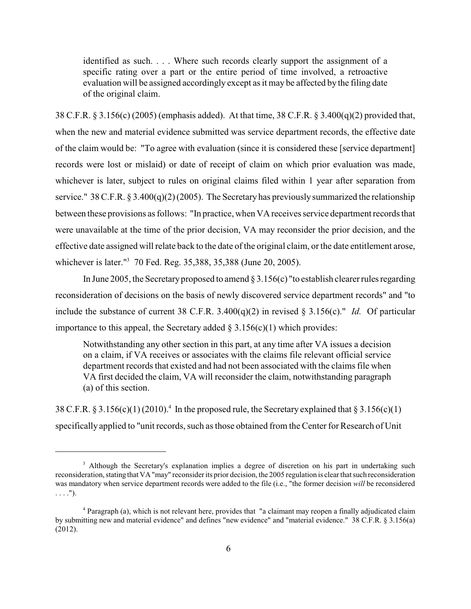identified as such. . . . Where such records clearly support the assignment of a specific rating over a part or the entire period of time involved, a retroactive evaluation will be assigned accordingly except as it may be affected by the filing date of the original claim.

38 C.F.R. § 3.156(c) (2005) (emphasis added). At that time, 38 C.F.R. § 3.400(q)(2) provided that, when the new and material evidence submitted was service department records, the effective date of the claim would be: "To agree with evaluation (since it is considered these [service department] records were lost or mislaid) or date of receipt of claim on which prior evaluation was made, whichever is later, subject to rules on original claims filed within 1 year after separation from service." 38 C.F.R. § 3.400(q)(2) (2005). The Secretary has previously summarized the relationship between these provisions as follows: "In practice, when VA receives service department records that were unavailable at the time of the prior decision, VA may reconsider the prior decision, and the effective date assigned will relate back to the date of the original claim, or the date entitlement arose, whichever is later."<sup>3</sup> 70 Fed. Reg. 35,388, 35,388 (June 20, 2005).

In June 2005, the Secretary proposed to amend  $\S 3.156(c)$  "to establish clearer rules regarding reconsideration of decisions on the basis of newly discovered service department records" and "to include the substance of current 38 C.F.R. 3.400(q)(2) in revised  $\S$  3.156(c)." *Id.* Of particular importance to this appeal, the Secretary added  $\S 3.156(c)(1)$  which provides:

Notwithstanding any other section in this part, at any time after VA issues a decision on a claim, if VA receives or associates with the claims file relevant official service department records that existed and had not been associated with the claims file when VA first decided the claim, VA will reconsider the claim, notwithstanding paragraph (a) of this section.

38 C.F.R. § 3.156(c)(1) (2010).<sup>4</sup> In the proposed rule, the Secretary explained that § 3.156(c)(1) specifically applied to "unit records, such as those obtained from the Center for Research of Unit

<sup>&</sup>lt;sup>3</sup> Although the Secretary's explanation implies a degree of discretion on his part in undertaking such reconsideration, stating that VA"may" reconsiderits prior decision, the 2005 regulation is clear that such reconsideration was mandatory when service department records were added to the file (i.e., "the former decision *will* be reconsidered  $\ldots$ .").

Paragraph (a), which is not relevant here, provides that "a claimant may reopen a finally adjudicated claim <sup>4</sup> by submitting new and material evidence" and defines "new evidence" and "material evidence." 38 C.F.R. § 3.156(a) (2012).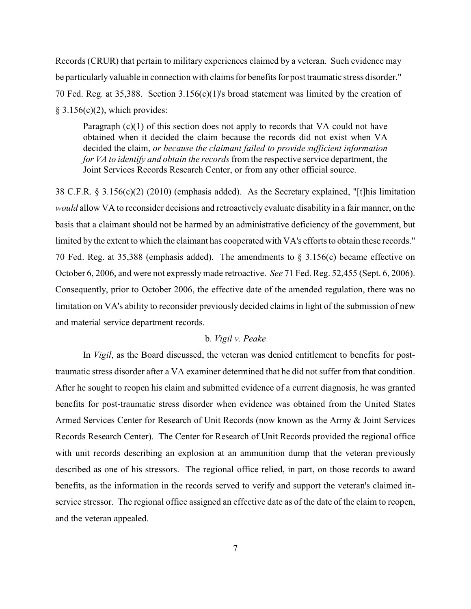Records (CRUR) that pertain to military experiences claimed by a veteran. Such evidence may be particularly valuable in connection with claims for benefits for post traumatic stress disorder." 70 Fed. Reg. at 35,388. Section 3.156(c)(1)'s broad statement was limited by the creation of  $§$  3.156(c)(2), which provides:

Paragraph  $(c)(1)$  of this section does not apply to records that VA could not have obtained when it decided the claim because the records did not exist when VA decided the claim, *or because the claimant failed to provide sufficient information for VA to identify and obtain the records* from the respective service department, the Joint Services Records Research Center, or from any other official source.

38 C.F.R. § 3.156(c)(2) (2010) (emphasis added). As the Secretary explained, "[t]his limitation *would* allow VA to reconsider decisions and retroactively evaluate disability in a fair manner, on the basis that a claimant should not be harmed by an administrative deficiency of the government, but limited by the extent to which the claimant has cooperated with VA's efforts to obtain these records." 70 Fed. Reg. at 35,388 (emphasis added). The amendments to § 3.156(c) became effective on October 6, 2006, and were not expressly made retroactive. *See* 71 Fed. Reg. 52,455 (Sept. 6, 2006). Consequently, prior to October 2006, the effective date of the amended regulation, there was no limitation on VA's ability to reconsider previously decided claims in light of the submission of new and material service department records.

### b. *Vigil v. Peake*

In *Vigil*, as the Board discussed, the veteran was denied entitlement to benefits for posttraumatic stress disorder after a VA examiner determined that he did not suffer from that condition. After he sought to reopen his claim and submitted evidence of a current diagnosis, he was granted benefits for post-traumatic stress disorder when evidence was obtained from the United States Armed Services Center for Research of Unit Records (now known as the Army & Joint Services Records Research Center). The Center for Research of Unit Records provided the regional office with unit records describing an explosion at an ammunition dump that the veteran previously described as one of his stressors. The regional office relied, in part, on those records to award benefits, as the information in the records served to verify and support the veteran's claimed inservice stressor. The regional office assigned an effective date as of the date of the claim to reopen, and the veteran appealed.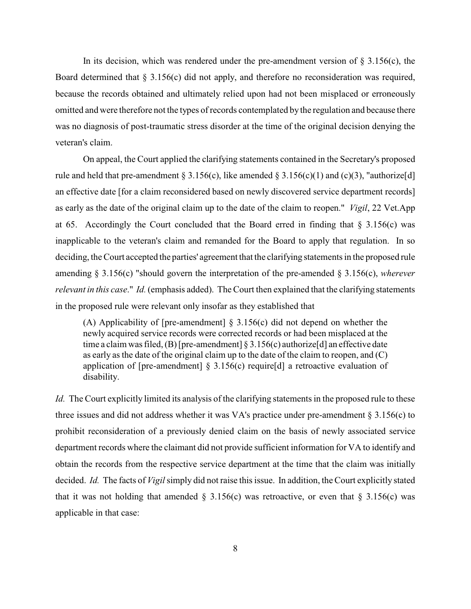In its decision, which was rendered under the pre-amendment version of  $\S 3.156(c)$ , the Board determined that § 3.156(c) did not apply, and therefore no reconsideration was required, because the records obtained and ultimately relied upon had not been misplaced or erroneously omitted and were therefore not the types of records contemplated by the regulation and because there was no diagnosis of post-traumatic stress disorder at the time of the original decision denying the veteran's claim.

On appeal, the Court applied the clarifying statements contained in the Secretary's proposed rule and held that pre-amendment § 3.156(c), like amended § 3.156(c)(1) and (c)(3), "authorize[d] an effective date [for a claim reconsidered based on newly discovered service department records] as early as the date of the original claim up to the date of the claim to reopen." *Vigil*, 22 Vet.App at 65. Accordingly the Court concluded that the Board erred in finding that  $\S$  3.156(c) was inapplicable to the veteran's claim and remanded for the Board to apply that regulation. In so deciding, the Court accepted the parties' agreement that the clarifying statements in the proposed rule amending § 3.156(c) "should govern the interpretation of the pre-amended § 3.156(c), *wherever relevant in this case*." *Id.*(emphasis added). The Court then explained that the clarifying statements in the proposed rule were relevant only insofar as they established that

(A) Applicability of [pre-amendment] § 3.156(c) did not depend on whether the newly acquired service records were corrected records or had been misplaced at the time a claim was filed,  $(B)$  [pre-amendment] § 3.156(c) authorize [d] an effective date as early as the date of the original claim up to the date of the claim to reopen, and (C) application of [pre-amendment]  $\S$  3.156(c) require[d] a retroactive evaluation of disability.

*Id.* The Court explicitly limited its analysis of the clarifying statements in the proposed rule to these three issues and did not address whether it was VA's practice under pre-amendment  $\S 3.156(c)$  to prohibit reconsideration of a previously denied claim on the basis of newly associated service department records where the claimant did not provide sufficient information for VA to identify and obtain the records from the respective service department at the time that the claim was initially decided. *Id.* The facts of *Vigil* simply did not raise this issue. In addition, the Court explicitly stated that it was not holding that amended  $\S$  3.156(c) was retroactive, or even that  $\S$  3.156(c) was applicable in that case: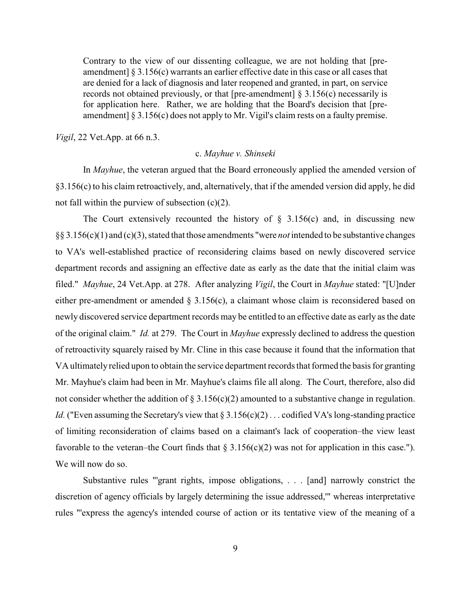Contrary to the view of our dissenting colleague, we are not holding that [preamendment] § 3.156(c) warrants an earlier effective date in this case or all cases that are denied for a lack of diagnosis and later reopened and granted, in part, on service records not obtained previously, or that [pre-amendment]  $\S$  3.156(c) necessarily is for application here. Rather, we are holding that the Board's decision that [preamendment] § 3.156(c) does not apply to Mr. Vigil's claim rests on a faulty premise.

*Vigil*, 22 Vet.App. at 66 n.3.

### c. *Mayhue v. Shinseki*

In *Mayhue*, the veteran argued that the Board erroneously applied the amended version of §3.156(c) to his claim retroactively, and, alternatively, that if the amended version did apply, he did not fall within the purview of subsection (c)(2).

The Court extensively recounted the history of  $\S$  3.156(c) and, in discussing new §§ 3.156(c)(1) and (c)(3), stated that those amendments "were *not* intended to be substantive changes to VA's well-established practice of reconsidering claims based on newly discovered service department records and assigning an effective date as early as the date that the initial claim was filed." *Mayhue*, 24 Vet.App. at 278. After analyzing *Vigil*, the Court in *Mayhue* stated: "[U]nder either pre-amendment or amended § 3.156(c), a claimant whose claim is reconsidered based on newly discovered service department records may be entitled to an effective date as early as the date of the original claim." *Id.* at 279. The Court in *Mayhue* expressly declined to address the question of retroactivity squarely raised by Mr. Cline in this case because it found that the information that VA ultimately relied upon to obtain the service department records that formed the basis for granting Mr. Mayhue's claim had been in Mr. Mayhue's claims file all along. The Court, therefore, also did not consider whether the addition of  $\S 3.156(c)(2)$  amounted to a substantive change in regulation. *Id.* ("Even assuming the Secretary's view that  $\S 3.156(c)(2)$ ... codified VA's long-standing practice of limiting reconsideration of claims based on a claimant's lack of cooperation–the view least favorable to the veteran–the Court finds that  $\S 3.156(c)(2)$  was not for application in this case."). We will now do so.

Substantive rules "'grant rights, impose obligations, . . . [and] narrowly constrict the discretion of agency officials by largely determining the issue addressed,'" whereas interpretative rules "'express the agency's intended course of action or its tentative view of the meaning of a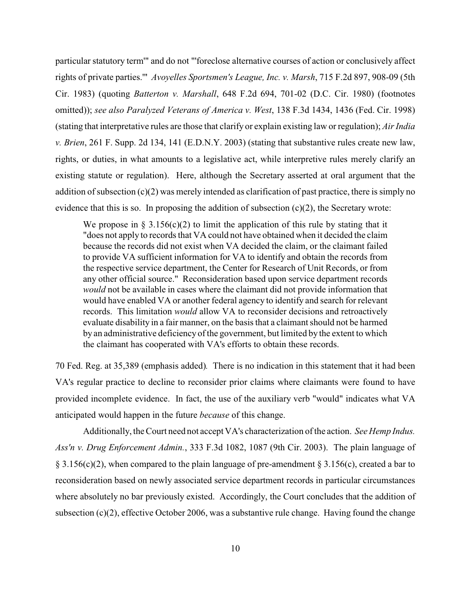particular statutory term'" and do not "'foreclose alternative courses of action or conclusively affect rights of private parties.'" *Avoyelles Sportsmen's League, Inc. v. Marsh*, 715 F.2d 897, 908-09 (5th Cir. 1983) (quoting *Batterton v. Marshall*, 648 F.2d 694, 701-02 (D.C. Cir. 1980) (footnotes omitted)); *see also Paralyzed Veterans of America v. West*, 138 F.3d 1434, 1436 (Fed. Cir. 1998) (stating that interpretative rules are those that clarify or explain existing law or regulation); *Air India v. Brien*, 261 F. Supp. 2d 134, 141 (E.D.N.Y. 2003) (stating that substantive rules create new law, rights, or duties, in what amounts to a legislative act, while interpretive rules merely clarify an existing statute or regulation). Here, although the Secretary asserted at oral argument that the addition of subsection  $(c)(2)$  was merely intended as clarification of past practice, there is simply no evidence that this is so. In proposing the addition of subsection  $(c)(2)$ , the Secretary wrote:

We propose in § 3.156(c)(2) to limit the application of this rule by stating that it "does not apply to records that VA could not have obtained when it decided the claim because the records did not exist when VA decided the claim, or the claimant failed to provide VA sufficient information for VA to identify and obtain the records from the respective service department, the Center for Research of Unit Records, or from any other official source." Reconsideration based upon service department records *would* not be available in cases where the claimant did not provide information that would have enabled VA or another federal agency to identify and search for relevant records. This limitation *would* allow VA to reconsider decisions and retroactively evaluate disability in a fair manner, on the basis that a claimant should not be harmed by an administrative deficiency of the government, but limited by the extent to which the claimant has cooperated with VA's efforts to obtain these records.

70 Fed. Reg. at 35,389 (emphasis added)*.* There is no indication in this statement that it had been VA's regular practice to decline to reconsider prior claims where claimants were found to have provided incomplete evidence. In fact, the use of the auxiliary verb "would" indicates what VA anticipated would happen in the future *because* of this change.

Additionally, the Court need not accept VA's characterization of the action. *See Hemp Indus. Ass'n v. Drug Enforcement Admin.*, 333 F.3d 1082, 1087 (9th Cir. 2003). The plain language of § 3.156(c)(2), when compared to the plain language of pre-amendment § 3.156(c), created a bar to reconsideration based on newly associated service department records in particular circumstances where absolutely no bar previously existed. Accordingly, the Court concludes that the addition of subsection  $(c)(2)$ , effective October 2006, was a substantive rule change. Having found the change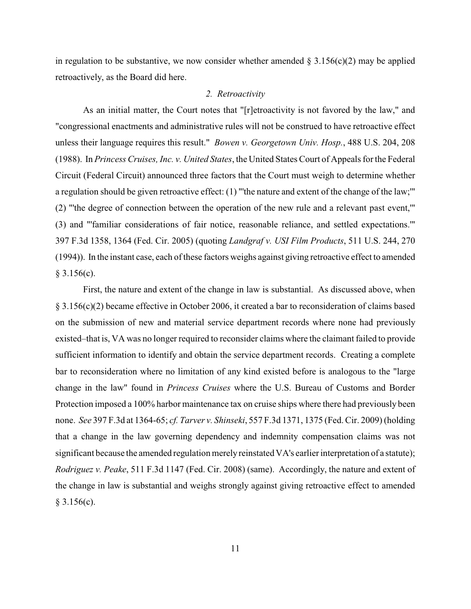in regulation to be substantive, we now consider whether amended  $\S 3.156(c)(2)$  may be applied retroactively, as the Board did here.

#### *2. Retroactivity*

As an initial matter, the Court notes that "[r]etroactivity is not favored by the law," and "congressional enactments and administrative rules will not be construed to have retroactive effect unless their language requires this result." *Bowen v. Georgetown Univ. Hosp.*, 488 U.S. 204, 208 (1988). In *Princess Cruises, Inc. v. United States*, the United States Court of Appeals for the Federal Circuit (Federal Circuit) announced three factors that the Court must weigh to determine whether a regulation should be given retroactive effect: (1) "'the nature and extent of the change of the law;'" (2) "'the degree of connection between the operation of the new rule and a relevant past event,'" (3) and "'familiar considerations of fair notice, reasonable reliance, and settled expectations.'" 397 F.3d 1358, 1364 (Fed. Cir. 2005) (quoting *Landgraf v. USI Film Products*, 511 U.S. 244, 270 (1994)). In the instant case, each of these factors weighs against giving retroactive effect to amended  $§$  3.156(c).

First, the nature and extent of the change in law is substantial. As discussed above, when § 3.156(c)(2) became effective in October 2006, it created a bar to reconsideration of claims based on the submission of new and material service department records where none had previously existed–that is, VA was no longer required to reconsider claims where the claimant failed to provide sufficient information to identify and obtain the service department records. Creating a complete bar to reconsideration where no limitation of any kind existed before is analogous to the "large change in the law" found in *Princess Cruises* where the U.S. Bureau of Customs and Border Protection imposed a 100% harbor maintenance tax on cruise ships where there had previously been none. *See* 397 F.3d at 1364-65; *cf. Tarver v. Shinseki*, 557 F.3d 1371, 1375 (Fed. Cir. 2009) (holding that a change in the law governing dependency and indemnity compensation claims was not significant because the amended regulation merely reinstated VA's earlier interpretation of a statute); *Rodriguez v. Peake*, 511 F.3d 1147 (Fed. Cir. 2008) (same). Accordingly, the nature and extent of the change in law is substantial and weighs strongly against giving retroactive effect to amended  $§ 3.156(c).$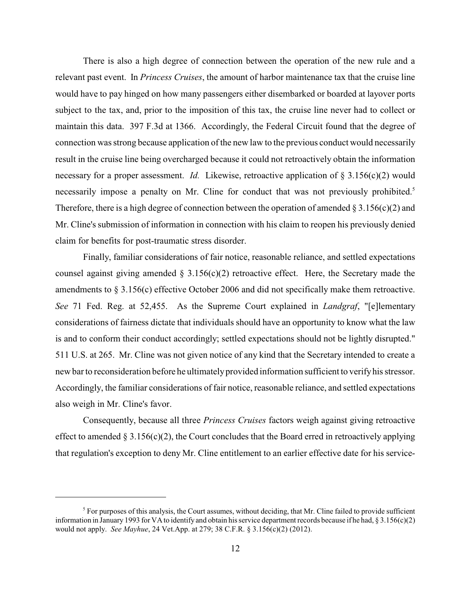There is also a high degree of connection between the operation of the new rule and a relevant past event. In *Princess Cruises*, the amount of harbor maintenance tax that the cruise line would have to pay hinged on how many passengers either disembarked or boarded at layover ports subject to the tax, and, prior to the imposition of this tax, the cruise line never had to collect or maintain this data. 397 F.3d at 1366. Accordingly, the Federal Circuit found that the degree of connection was strong because application of the new law to the previous conduct would necessarily result in the cruise line being overcharged because it could not retroactively obtain the information necessary for a proper assessment. *Id.* Likewise, retroactive application of § 3.156(c)(2) would necessarily impose a penalty on Mr. Cline for conduct that was not previously prohibited.<sup>5</sup> Therefore, there is a high degree of connection between the operation of amended  $\S 3.156(c)(2)$  and Mr. Cline's submission of information in connection with his claim to reopen his previously denied claim for benefits for post-traumatic stress disorder.

Finally, familiar considerations of fair notice, reasonable reliance, and settled expectations counsel against giving amended  $\S 3.156(c)(2)$  retroactive effect. Here, the Secretary made the amendments to  $\S 3.156(c)$  effective October 2006 and did not specifically make them retroactive. *See* 71 Fed. Reg. at 52,455. As the Supreme Court explained in *Landgraf*, "[e]lementary considerations of fairness dictate that individuals should have an opportunity to know what the law is and to conform their conduct accordingly; settled expectations should not be lightly disrupted." 511 U.S. at 265. Mr. Cline was not given notice of any kind that the Secretary intended to create a new bar to reconsideration before he ultimatelyprovided information sufficient to verifyhis stressor. Accordingly, the familiar considerations of fair notice, reasonable reliance, and settled expectations also weigh in Mr. Cline's favor.

Consequently, because all three *Princess Cruises* factors weigh against giving retroactive effect to amended  $\S 3.156(c)(2)$ , the Court concludes that the Board erred in retroactively applying that regulation's exception to deny Mr. Cline entitlement to an earlier effective date for his service-

 $5$  For purposes of this analysis, the Court assumes, without deciding, that Mr. Cline failed to provide sufficient information in January 1993 for VA to identify and obtain his service department records because if he had, § 3.156(c)(2) would not apply. *See Mayhue*, 24 Vet.App. at 279; 38 C.F.R. § 3.156(c)(2) (2012).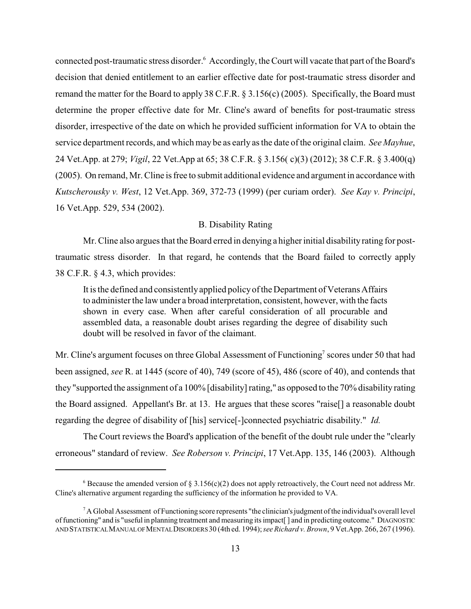connected post-traumatic stress disorder.<sup>6</sup> Accordingly, the Court will vacate that part of the Board's decision that denied entitlement to an earlier effective date for post-traumatic stress disorder and remand the matter for the Board to apply 38 C.F.R. § 3.156(c) (2005). Specifically, the Board must determine the proper effective date for Mr. Cline's award of benefits for post-traumatic stress disorder, irrespective of the date on which he provided sufficient information for VA to obtain the service department records, and which may be as early as the date of the original claim. *See Mayhue*, 24 Vet.App. at 279; *Vigil*, 22 Vet.App at 65; 38 C.F.R. § 3.156( c)(3) (2012); 38 C.F.R. § 3.400(q) (2005). On remand, Mr. Cline is free to submit additional evidence and argument in accordance with *Kutscherousky v. West*, 12 Vet.App. 369, 372-73 (1999) (per curiam order). *See Kay v. Principi*, 16 Vet.App. 529, 534 (2002).

# B. Disability Rating

Mr. Cline also argues that the Board erred in denying a higher initial disabilityrating for posttraumatic stress disorder. In that regard, he contends that the Board failed to correctly apply 38 C.F.R. § 4.3, which provides:

It is the defined and consistentlyapplied policyof the Department of Veterans Affairs to administer the law under a broad interpretation, consistent, however, with the facts shown in every case. When after careful consideration of all procurable and assembled data, a reasonable doubt arises regarding the degree of disability such doubt will be resolved in favor of the claimant.

Mr. Cline's argument focuses on three Global Assessment of Functioning<sup>7</sup> scores under 50 that had been assigned, *see* R. at 1445 (score of 40), 749 (score of 45), 486 (score of 40), and contends that they "supported the assignment of a 100% [disability] rating," as opposed to the 70% disability rating the Board assigned. Appellant's Br. at 13. He argues that these scores "raise[] a reasonable doubt regarding the degree of disability of [his] service[-]connected psychiatric disability." *Id.*

The Court reviews the Board's application of the benefit of the doubt rule under the "clearly erroneous" standard of review. *See Roberson v. Principi*, 17 Vet.App. 135, 146 (2003). Although

<sup>&</sup>lt;sup>6</sup> Because the amended version of § 3.156(c)(2) does not apply retroactively, the Court need not address Mr. Cline's alternative argument regarding the sufficiency of the information he provided to VA.

<sup>&</sup>lt;sup>7</sup> A Global Assessment of Functioning score represents "the clinician's judgment of the individual's overall level of functioning" and is "useful in planning treatment and measuring its impact[ ] and in predicting outcome." DIAGNOSTIC AND STATISTICALMANUALOFMENTALDISORDERS 30 (4th ed. 1994); *see Richard v. Brown*, 9 Vet.App. 266, 267 (1996).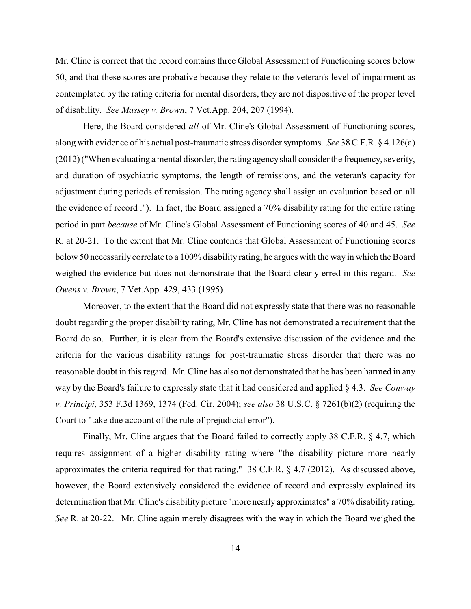Mr. Cline is correct that the record contains three Global Assessment of Functioning scores below 50, and that these scores are probative because they relate to the veteran's level of impairment as contemplated by the rating criteria for mental disorders, they are not dispositive of the proper level of disability. *See Massey v. Brown*, 7 Vet.App. 204, 207 (1994).

Here, the Board considered *all* of Mr. Cline's Global Assessment of Functioning scores, along with evidence of his actual post-traumatic stress disorder symptoms. *See* 38 C.F.R. § 4.126(a) (2012) ("When evaluating a mental disorder, the rating agencyshall consider the frequency, severity, and duration of psychiatric symptoms, the length of remissions, and the veteran's capacity for adjustment during periods of remission. The rating agency shall assign an evaluation based on all the evidence of record ."). In fact, the Board assigned a 70% disability rating for the entire rating period in part *because* of Mr. Cline's Global Assessment of Functioning scores of 40 and 45. *See* R. at 20-21. To the extent that Mr. Cline contends that Global Assessment of Functioning scores below 50 necessarily correlate to a 100% disability rating, he argues with the way in which the Board weighed the evidence but does not demonstrate that the Board clearly erred in this regard. *See Owens v. Brown*, 7 Vet.App. 429, 433 (1995).

Moreover, to the extent that the Board did not expressly state that there was no reasonable doubt regarding the proper disability rating, Mr. Cline has not demonstrated a requirement that the Board do so. Further, it is clear from the Board's extensive discussion of the evidence and the criteria for the various disability ratings for post-traumatic stress disorder that there was no reasonable doubt in this regard. Mr. Cline has also not demonstrated that he has been harmed in any way by the Board's failure to expressly state that it had considered and applied § 4.3. *See Conway v. Principi*, 353 F.3d 1369, 1374 (Fed. Cir. 2004); *see also* 38 U.S.C. § 7261(b)(2) (requiring the Court to "take due account of the rule of prejudicial error").

Finally, Mr. Cline argues that the Board failed to correctly apply 38 C.F.R. § 4.7, which requires assignment of a higher disability rating where "the disability picture more nearly approximates the criteria required for that rating." 38 C.F.R. § 4.7 (2012). As discussed above, however, the Board extensively considered the evidence of record and expressly explained its determination that Mr. Cline's disability picture "more nearly approximates" a 70% disability rating. *See* R. at 20-22. Mr. Cline again merely disagrees with the way in which the Board weighed the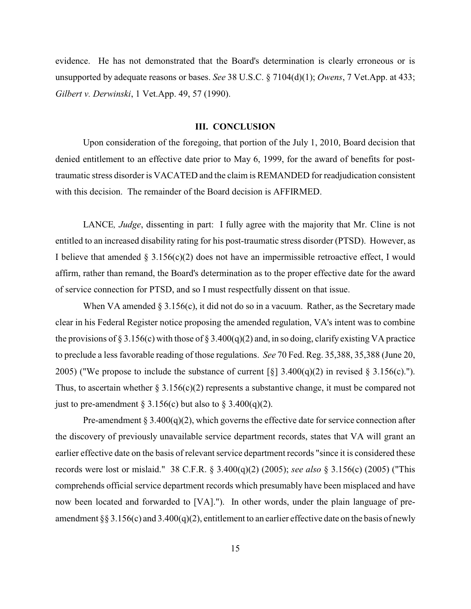evidence. He has not demonstrated that the Board's determination is clearly erroneous or is unsupported by adequate reasons or bases. *See* 38 U.S.C. § 7104(d)(1); *Owens*, 7 Vet.App. at 433; *Gilbert v. Derwinski*, 1 Vet.App. 49, 57 (1990).

# **III. CONCLUSION**

Upon consideration of the foregoing, that portion of the July 1, 2010, Board decision that denied entitlement to an effective date prior to May 6, 1999, for the award of benefits for posttraumatic stress disorder is VACATED and the claim is REMANDED for readjudication consistent with this decision. The remainder of the Board decision is AFFIRMED.

LANCE*, Judge*, dissenting in part: I fully agree with the majority that Mr. Cline is not entitled to an increased disability rating for his post-traumatic stress disorder (PTSD). However, as I believe that amended  $\S 3.156(c)(2)$  does not have an impermissible retroactive effect, I would affirm, rather than remand, the Board's determination as to the proper effective date for the award of service connection for PTSD, and so I must respectfully dissent on that issue.

When VA amended  $\S 3.156(c)$ , it did not do so in a vacuum. Rather, as the Secretary made clear in his Federal Register notice proposing the amended regulation, VA's intent was to combine the provisions of § 3.156(c) with those of § 3.400(q)(2) and, in so doing, clarify existing VA practice to preclude a less favorable reading of those regulations. *See* 70 Fed. Reg. 35,388, 35,388 (June 20, 2005) ("We propose to include the substance of current  $\lceil \xi \rceil$  3.400(q)(2) in revised § 3.156(c)."). Thus, to ascertain whether  $\S 3.156(c)(2)$  represents a substantive change, it must be compared not just to pre-amendment § 3.156(c) but also to § 3.400(q)(2).

Pre-amendment  $\S 3.400(q)(2)$ , which governs the effective date for service connection after the discovery of previously unavailable service department records, states that VA will grant an earlier effective date on the basis of relevant service department records "since it is considered these records were lost or mislaid." 38 C.F.R. § 3.400(q)(2) (2005); *see also* § 3.156(c) (2005) ("This comprehends official service department records which presumably have been misplaced and have now been located and forwarded to [VA]."). In other words, under the plain language of preamendment §§ 3.156(c) and 3.400(q)(2), entitlement to an earlier effective date on the basis of newly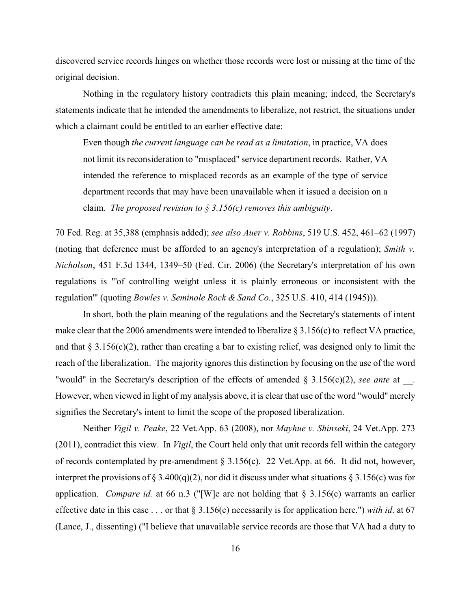discovered service records hinges on whether those records were lost or missing at the time of the original decision.

Nothing in the regulatory history contradicts this plain meaning; indeed, the Secretary's statements indicate that he intended the amendments to liberalize, not restrict, the situations under which a claimant could be entitled to an earlier effective date:

Even though *the current language can be read as a limitation*, in practice, VA does not limit its reconsideration to "misplaced" service department records. Rather, VA intended the reference to misplaced records as an example of the type of service department records that may have been unavailable when it issued a decision on a claim. *The proposed revision to § 3.156(c) removes this ambiguity*.

70 Fed. Reg. at 35,388 (emphasis added); *see also Auer v. Robbins*, 519 U.S. 452, 461–62 (1997) (noting that deference must be afforded to an agency's interpretation of a regulation); *Smith v. Nicholson*, 451 F.3d 1344, 1349–50 (Fed. Cir. 2006) (the Secretary's interpretation of his own regulations is "'of controlling weight unless it is plainly erroneous or inconsistent with the regulation'" (quoting *Bowles v. Seminole Rock & Sand Co.*, 325 U.S. 410, 414 (1945))).

In short, both the plain meaning of the regulations and the Secretary's statements of intent make clear that the 2006 amendments were intended to liberalize  $\S 3.156(c)$  to reflect VA practice, and that § 3.156(c)(2), rather than creating a bar to existing relief, was designed only to limit the reach of the liberalization. The majority ignores this distinction by focusing on the use of the word "would" in the Secretary's description of the effects of amended § 3.156(c)(2), *see ante* at . However, when viewed in light of my analysis above, it is clear that use of the word "would" merely signifies the Secretary's intent to limit the scope of the proposed liberalization.

Neither *Vigil v. Peake*, 22 Vet.App. 63 (2008), nor *Mayhue v. Shinseki*, 24 Vet.App. 273 (2011), contradict this view. In *Vigil*, the Court held only that unit records fell within the category of records contemplated by pre-amendment § 3.156(c). 22 Vet.App. at 66. It did not, however, interpret the provisions of § 3.400(q)(2), nor did it discuss under what situations § 3.156(c) was for application. *Compare id.* at 66 n.3 ("[W]e are not holding that § 3.156(c) warrants an earlier effective date in this case . . . or that § 3.156(c) necessarily is for application here.") *with id*. at 67 (Lance, J., dissenting) ("I believe that unavailable service records are those that VA had a duty to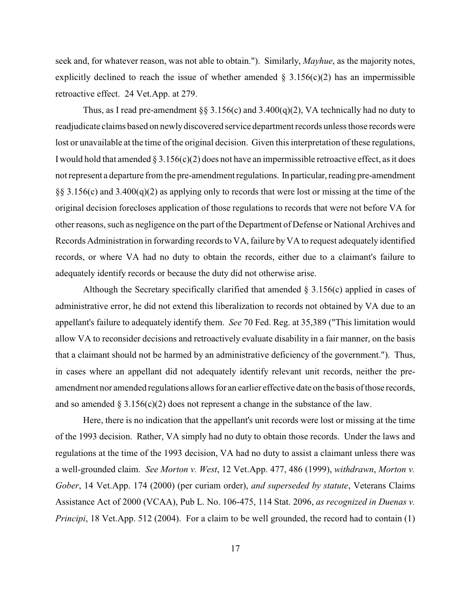seek and, for whatever reason, was not able to obtain."). Similarly, *Mayhue*, as the majority notes, explicitly declined to reach the issue of whether amended  $\S$  3.156(c)(2) has an impermissible retroactive effect. 24 Vet.App. at 279.

Thus, as I read pre-amendment §§ 3.156(c) and 3.400(q)(2), VA technically had no duty to readjudicate claims based on newlydiscovered service department records unless those records were lost or unavailable at the time of the original decision. Given this interpretation of these regulations, I would hold that amended  $\S 3.156(c)(2)$  does not have an impermissible retroactive effect, as it does not represent a departure from the pre-amendment regulations. In particular, reading pre-amendment §§ 3.156(c) and 3.400(q)(2) as applying only to records that were lost or missing at the time of the original decision forecloses application of those regulations to records that were not before VA for other reasons, such as negligence on the part of the Department of Defense or National Archives and Records Administration in forwarding records to VA, failure byVA to request adequately identified records, or where VA had no duty to obtain the records, either due to a claimant's failure to adequately identify records or because the duty did not otherwise arise.

Although the Secretary specifically clarified that amended  $\S 3.156(c)$  applied in cases of administrative error, he did not extend this liberalization to records not obtained by VA due to an appellant's failure to adequately identify them. *See* 70 Fed. Reg. at 35,389 ("This limitation would allow VA to reconsider decisions and retroactively evaluate disability in a fair manner, on the basis that a claimant should not be harmed by an administrative deficiency of the government."). Thus, in cases where an appellant did not adequately identify relevant unit records, neither the preamendment nor amended regulations allows for an earlier effective date on the basis of those records, and so amended  $\S 3.156(c)(2)$  does not represent a change in the substance of the law.

Here, there is no indication that the appellant's unit records were lost or missing at the time of the 1993 decision. Rather, VA simply had no duty to obtain those records. Under the laws and regulations at the time of the 1993 decision, VA had no duty to assist a claimant unless there was a well-grounded claim. *See Morton v. West*, 12 Vet.App. 477, 486 (1999), *withdrawn*, *Morton v. Gober*, 14 Vet.App. 174 (2000) (per curiam order), *and superseded by statute*, Veterans Claims Assistance Act of 2000 (VCAA), Pub L. No. 106-475, 114 Stat. 2096, *as recognized in Duenas v. Principi*, 18 Vet.App. 512 (2004). For a claim to be well grounded, the record had to contain (1)